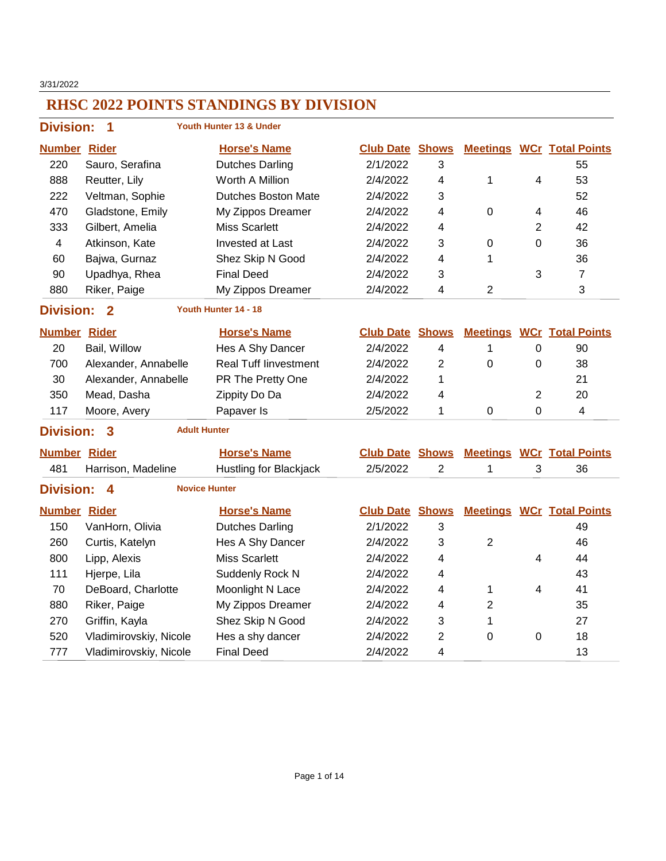3/31/2022

| <b>Division:</b>    | 1                       |                      | Youth Hunter 13 & Under       |                        |                         |                |                |                                  |
|---------------------|-------------------------|----------------------|-------------------------------|------------------------|-------------------------|----------------|----------------|----------------------------------|
| <b>Number Rider</b> |                         |                      | <b>Horse's Name</b>           | <b>Club Date Shows</b> |                         |                |                | <b>Meetings WCr Total Points</b> |
| 220                 | Sauro, Serafina         |                      | <b>Dutches Darling</b>        | 2/1/2022               | 3                       |                |                | 55                               |
| 888                 | Reutter, Lily           |                      | Worth A Million               | 2/4/2022               | $\overline{\mathbf{4}}$ | 1              | 4              | 53                               |
| 222                 | Veltman, Sophie         |                      | Dutches Boston Mate           | 2/4/2022               | 3                       |                |                | 52                               |
| 470                 | Gladstone, Emily        |                      | My Zippos Dreamer             | 2/4/2022               | 4                       | $\mathbf 0$    | $\overline{4}$ | 46                               |
| 333                 | Gilbert, Amelia         |                      | <b>Miss Scarlett</b>          | 2/4/2022               | 4                       |                | $\overline{2}$ | 42                               |
| $\overline{4}$      | Atkinson, Kate          |                      | <b>Invested at Last</b>       | 2/4/2022               | 3                       | $\mathbf 0$    | $\overline{0}$ | 36                               |
| 60                  | Bajwa, Gurnaz           |                      | Shez Skip N Good              | 2/4/2022               | 4                       | 1              |                | 36                               |
| 90                  | Upadhya, Rhea           |                      | <b>Final Deed</b>             | 2/4/2022               | 3                       |                | 3              | $\overline{7}$                   |
| 880                 | Riker, Paige            |                      | My Zippos Dreamer             | 2/4/2022               | $\overline{\mathbf{4}}$ | $\overline{2}$ |                | 3                                |
| <b>Division:</b>    | $\overline{2}$          |                      | Youth Hunter 14 - 18          |                        |                         |                |                |                                  |
| <b>Number Rider</b> |                         |                      | <b>Horse's Name</b>           | <b>Club Date Shows</b> |                         |                |                | <b>Meetings WCr Total Points</b> |
| 20                  | Bail, Willow            |                      | Hes A Shy Dancer              | 2/4/2022               | 4                       | $\mathbf{1}$   | $\pmb{0}$      | 90                               |
| 700                 | Alexander, Annabelle    |                      | <b>Real Tuff linvestment</b>  | 2/4/2022               | $\overline{c}$          | $\overline{0}$ | $\pmb{0}$      | 38                               |
| 30                  | Alexander, Annabelle    |                      | PR The Pretty One             | 2/4/2022               | 1                       |                |                | 21                               |
| 350                 | Mead, Dasha             |                      | Zippity Do Da                 | 2/4/2022               | 4                       |                | $\sqrt{2}$     | 20                               |
| 117                 | Moore, Avery            |                      | Papaver Is                    | 2/5/2022               | 1                       | $\Omega$       | 0              | $\overline{4}$                   |
| <b>Division:</b>    | $\overline{\mathbf{3}}$ | <b>Adult Hunter</b>  |                               |                        |                         |                |                |                                  |
| <b>Number Rider</b> |                         |                      | <b>Horse's Name</b>           | <b>Club Date Shows</b> |                         |                |                | <b>Meetings WCr Total Points</b> |
| 481                 | Harrison, Madeline      |                      | <b>Hustling for Blackjack</b> | 2/5/2022               | $\overline{2}$          | 1              | 3              | 36                               |
| <b>Division:</b>    | 4                       | <b>Novice Hunter</b> |                               |                        |                         |                |                |                                  |
| <b>Number Rider</b> |                         |                      | <b>Horse's Name</b>           | <b>Club Date Shows</b> |                         |                |                | <b>Meetings WCr Total Points</b> |
| 150                 | VanHorn, Olivia         |                      | <b>Dutches Darling</b>        | 2/1/2022               | 3                       |                |                | 49                               |
| 260                 | Curtis, Katelyn         |                      | Hes A Shy Dancer              | 2/4/2022               | 3                       | $\overline{2}$ |                | 46                               |
| 800                 | Lipp, Alexis            |                      | <b>Miss Scarlett</b>          | 2/4/2022               | 4                       |                | 4              | 44                               |
| 111                 | Hjerpe, Lila            |                      | Suddenly Rock N               | 2/4/2022               | 4                       |                |                | 43                               |
| 70                  | DeBoard, Charlotte      |                      | Moonlight N Lace              | 2/4/2022               | 4                       | 1              | $\overline{4}$ | 41                               |
| 880                 | Riker, Paige            |                      | My Zippos Dreamer             | 2/4/2022               | 4                       | $\overline{2}$ |                | 35                               |
| 270                 | Griffin, Kayla          |                      | Shez Skip N Good              | 2/4/2022               | 3                       | 1              |                | 27                               |
| 520                 | Vladimirovskiy, Nicole  |                      | Hes a shy dancer              | 2/4/2022               | $\overline{2}$          | 0              | $\pmb{0}$      | 18                               |
| 777                 | Vladimirovskiy, Nicole  |                      | <b>Final Deed</b>             | 2/4/2022               | 4                       |                |                | 13                               |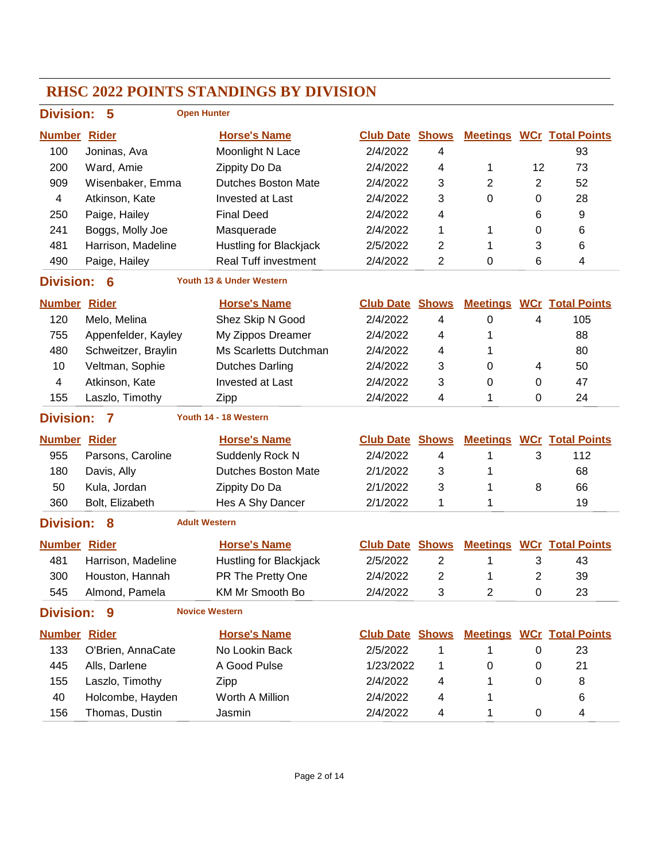|                     |                     | <b>RHSC 2022 POINTS STANDINGS BY DIVISION</b> |                        |                         |                 |                |                                  |
|---------------------|---------------------|-----------------------------------------------|------------------------|-------------------------|-----------------|----------------|----------------------------------|
| <b>Division:</b>    | 5                   | <b>Open Hunter</b>                            |                        |                         |                 |                |                                  |
| <b>Number Rider</b> |                     | <b>Horse's Name</b>                           | <b>Club Date Shows</b> |                         |                 |                | <b>Meetings WCr Total Points</b> |
| 100                 | Joninas, Ava        | Moonlight N Lace                              | 2/4/2022               | 4                       |                 |                | 93                               |
| 200                 | Ward, Amie          | Zippity Do Da                                 | 2/4/2022               | 4                       | 1               | 12             | 73                               |
| 909                 | Wisenbaker, Emma    | <b>Dutches Boston Mate</b>                    | 2/4/2022               | 3                       | $\overline{2}$  | $\overline{2}$ | 52                               |
| 4                   | Atkinson, Kate      | <b>Invested at Last</b>                       | 2/4/2022               | 3                       | 0               | 0              | 28                               |
| 250                 | Paige, Hailey       | <b>Final Deed</b>                             | 2/4/2022               | 4                       |                 | 6              | 9                                |
| 241                 | Boggs, Molly Joe    | Masquerade                                    | 2/4/2022               | 1                       | 1               | 0              | 6                                |
| 481                 | Harrison, Madeline  | Hustling for Blackjack                        | 2/5/2022               | $\overline{2}$          | 1               | 3              | 6                                |
| 490                 | Paige, Hailey       | <b>Real Tuff investment</b>                   | 2/4/2022               | $\overline{2}$          | 0               | 6              | $\overline{\mathbf{4}}$          |
| <b>Division:</b>    | 6                   | Youth 13 & Under Western                      |                        |                         |                 |                |                                  |
| <b>Number Rider</b> |                     | <b>Horse's Name</b>                           | <b>Club Date</b>       | <b>Shows</b>            | <b>Meetings</b> |                | <b>WCr Total Points</b>          |
| 120                 | Melo, Melina        | Shez Skip N Good                              | 2/4/2022               | 4                       | 0               | 4              | 105                              |
| 755                 | Appenfelder, Kayley | My Zippos Dreamer                             | 2/4/2022               | 4                       | 1               |                | 88                               |
| 480                 | Schweitzer, Braylin | Ms Scarletts Dutchman                         | 2/4/2022               | 4                       | 1               |                | 80                               |
| 10                  | Veltman, Sophie     | <b>Dutches Darling</b>                        | 2/4/2022               | 3                       | 0               | 4              | 50                               |
| 4                   | Atkinson, Kate      | <b>Invested at Last</b>                       | 2/4/2022               | 3                       | 0               | 0              | 47                               |
| 155                 | Laszlo, Timothy     | Zipp                                          | 2/4/2022               | 4                       | 1               | 0              | 24                               |
| <b>Division:</b>    | 7                   | Youth 14 - 18 Western                         |                        |                         |                 |                |                                  |
| <b>Number Rider</b> |                     | <b>Horse's Name</b>                           | <b>Club Date</b>       | <b>Shows</b>            | <b>Meetings</b> |                | <b>WCr</b> Total Points          |
| 955                 | Parsons, Caroline   | Suddenly Rock N                               | 2/4/2022               | 4                       | 1               | 3              | 112                              |
| 180                 | Davis, Ally         | <b>Dutches Boston Mate</b>                    | 2/1/2022               | 3                       | 1               |                | 68                               |
| 50                  | Kula, Jordan        | Zippity Do Da                                 | 2/1/2022               | 3                       | 1               | 8              | 66                               |
| 360                 | Bolt, Elizabeth     | Hes A Shy Dancer                              | 2/1/2022               | 1                       | 1               |                | 19                               |
| <b>Division:</b>    | 8                   | <b>Adult Western</b>                          |                        |                         |                 |                |                                  |
| <b>Number Rider</b> |                     | <b>Horse's Name</b>                           | <b>Club Date</b>       | <b>Shows</b>            | <b>Meetings</b> |                | <b>WCr</b> Total Points          |
| 481                 | Harrison, Madeline  | Hustling for Blackjack                        | 2/5/2022               | $\overline{2}$          | 1               | 3              | 43                               |
| 300                 | Houston, Hannah     | PR The Pretty One                             | 2/4/2022               | $\overline{\mathbf{c}}$ | 1               | $\mathbf{2}$   | 39                               |
| 545                 | Almond, Pamela      | KM Mr Smooth Bo                               | 2/4/2022               | 3                       | $\mathbf{2}$    | 0              | 23                               |
| <b>Division:</b>    | 9                   | <b>Novice Western</b>                         |                        |                         |                 |                |                                  |
| <b>Number Rider</b> |                     | <b>Horse's Name</b>                           | <b>Club Date Shows</b> |                         |                 |                | <b>Meetings WCr Total Points</b> |
| 133                 | O'Brien, AnnaCate   | No Lookin Back                                | 2/5/2022               | 1                       | 1               | 0              | 23                               |
| 445                 | Alls, Darlene       | A Good Pulse                                  | 1/23/2022              | 1                       | 0               | 0              | 21                               |
| 155                 | Laszlo, Timothy     | Zipp                                          | 2/4/2022               | 4                       | 1               | 0              | 8                                |
| 40                  | Holcombe, Hayden    | Worth A Million                               | 2/4/2022               | 4                       | 1               |                | 6                                |
| 156                 | Thomas, Dustin      | Jasmin                                        | 2/4/2022               | 4                       | 1               | $\pmb{0}$      | 4                                |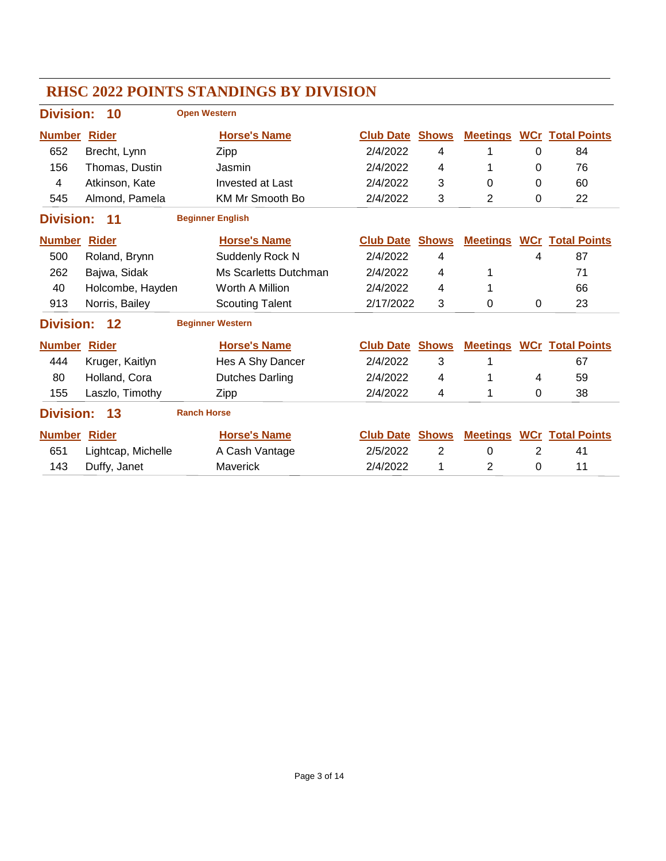|                     |                    | <b>RHSC 2022 POINTS STANDINGS BY DIVISION</b> |                  |                |                 |   |                                  |
|---------------------|--------------------|-----------------------------------------------|------------------|----------------|-----------------|---|----------------------------------|
| <b>Division:</b>    | 10                 | <b>Open Western</b>                           |                  |                |                 |   |                                  |
| <b>Number</b>       | <b>Rider</b>       | <b>Horse's Name</b>                           | <b>Club Date</b> | <b>Shows</b>   | <b>Meetings</b> |   | <b>WCr Total Points</b>          |
| 652                 | Brecht, Lynn       | Zipp                                          | 2/4/2022         | 4              | 1               | 0 | 84                               |
| 156                 | Thomas, Dustin     | Jasmin                                        | 2/4/2022         | 4              | 1               | 0 | 76                               |
| 4                   | Atkinson, Kate     | <b>Invested at Last</b>                       | 2/4/2022         | 3              | 0               | 0 | 60                               |
| 545                 | Almond, Pamela     | <b>KM Mr Smooth Bo</b>                        | 2/4/2022         | 3              | $\overline{2}$  | 0 | 22                               |
| <b>Division:</b>    | 11                 | <b>Beginner English</b>                       |                  |                |                 |   |                                  |
| <b>Number</b>       | <b>Rider</b>       | <b>Horse's Name</b>                           | <b>Club Date</b> | <b>Shows</b>   | <b>Meetings</b> |   | <b>WCr</b> Total Points          |
| 500                 | Roland, Brynn      | Suddenly Rock N                               | 2/4/2022         | 4              |                 | 4 | 87                               |
| 262                 | Bajwa, Sidak       | Ms Scarletts Dutchman                         | 2/4/2022         | 4              | 1               |   | 71                               |
| 40                  | Holcombe, Hayden   | Worth A Million                               | 2/4/2022         | 4              | 1               |   | 66                               |
| 913                 | Norris, Bailey     | <b>Scouting Talent</b>                        | 2/17/2022        | 3              | 0               | 0 | 23                               |
| <b>Division:</b>    | 12                 | <b>Beginner Western</b>                       |                  |                |                 |   |                                  |
| <b>Number Rider</b> |                    | <b>Horse's Name</b>                           | <b>Club Date</b> | <b>Shows</b>   |                 |   | <b>Meetings WCr Total Points</b> |
| 444                 | Kruger, Kaitlyn    | Hes A Shy Dancer                              | 2/4/2022         | 3              | 1               |   | 67                               |
| 80                  | Holland, Cora      | <b>Dutches Darling</b>                        | 2/4/2022         | 4              | 1               | 4 | 59                               |
| 155                 | Laszlo, Timothy    | Zipp                                          | 2/4/2022         | 4              | 1               | 0 | 38                               |
| <b>Division:</b>    | 13                 | <b>Ranch Horse</b>                            |                  |                |                 |   |                                  |
| <b>Number Rider</b> |                    | <b>Horse's Name</b>                           | <b>Club Date</b> | <b>Shows</b>   |                 |   | <b>Meetings WCr Total Points</b> |
| 651                 | Lightcap, Michelle | A Cash Vantage                                | 2/5/2022         | $\overline{2}$ | $\Omega$        | 2 | 41                               |
| 143                 | Duffy, Janet       | Maverick                                      | 2/4/2022         | 1              | 2               | 0 | 11                               |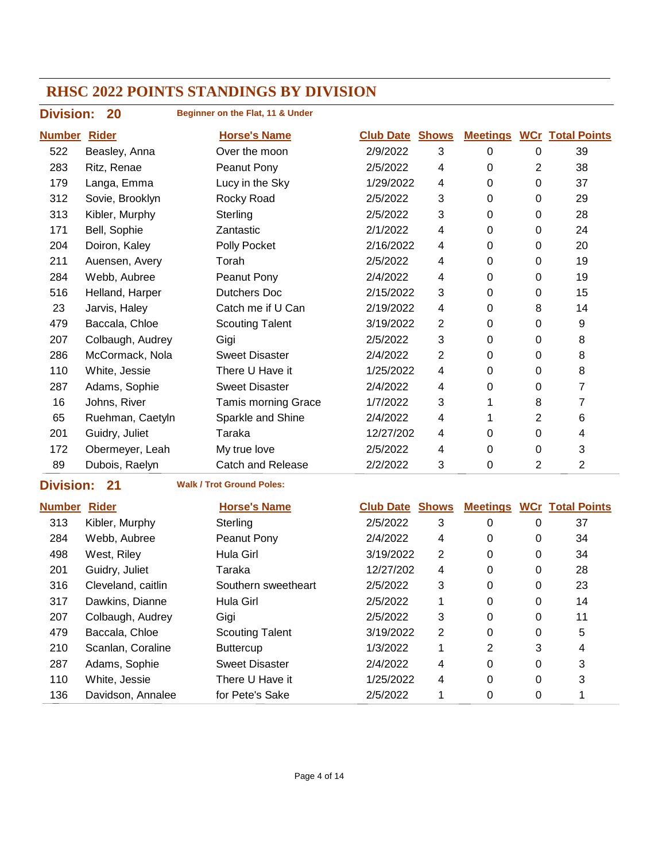| <b>Division:</b> | 20               | Beginner on the Flat, 11 & Under |                        |                |                 |                |                                  |
|------------------|------------------|----------------------------------|------------------------|----------------|-----------------|----------------|----------------------------------|
| <b>Number</b>    | <b>Rider</b>     | <b>Horse's Name</b>              | <b>Club Date Shows</b> |                |                 |                | <b>Meetings WCr Total Points</b> |
| 522              | Beasley, Anna    | Over the moon                    | 2/9/2022               | 3              | 0               | 0              | 39                               |
| 283              | Ritz, Renae      | Peanut Pony                      | 2/5/2022               | 4              | 0               | 2              | 38                               |
| 179              | Langa, Emma      | Lucy in the Sky                  | 1/29/2022              | 4              | $\Omega$        | 0              | 37                               |
| 312              | Sovie, Brooklyn  | Rocky Road                       | 2/5/2022               | 3              | 0               | 0              | 29                               |
| 313              | Kibler, Murphy   | Sterling                         | 2/5/2022               | 3              | 0               | 0              | 28                               |
| 171              | Bell, Sophie     | Zantastic                        | 2/1/2022               | 4              | 0               | 0              | 24                               |
| 204              | Doiron, Kaley    | Polly Pocket                     | 2/16/2022              | 4              | 0               | 0              | 20                               |
| 211              | Auensen, Avery   | Torah                            | 2/5/2022               | 4              | $\Omega$        | 0              | 19                               |
| 284              | Webb, Aubree     | Peanut Pony                      | 2/4/2022               | 4              | 0               | 0              | 19                               |
| 516              | Helland, Harper  | Dutchers Doc                     | 2/15/2022              | 3              | 0               | 0              | 15                               |
| 23               | Jarvis, Haley    | Catch me if U Can                | 2/19/2022              | 4              | 0               | 8              | 14                               |
| 479              | Baccala, Chloe   | <b>Scouting Talent</b>           | 3/19/2022              | $\overline{2}$ | 0               | 0              | 9                                |
| 207              | Colbaugh, Audrey | Gigi                             | 2/5/2022               | 3              | $\Omega$        | $\Omega$       | 8                                |
| 286              | McCormack, Nola  | <b>Sweet Disaster</b>            | 2/4/2022               | $\overline{2}$ | $\mathbf 0$     | $\mathbf 0$    | 8                                |
| 110              | White, Jessie    | There U Have it                  | 1/25/2022              | 4              | 0               | $\pmb{0}$      | 8                                |
| 287              | Adams, Sophie    | <b>Sweet Disaster</b>            | 2/4/2022               | 4              | 0               | 0              | 7                                |
| 16               | Johns, River     | <b>Tamis morning Grace</b>       | 1/7/2022               | 3              | 1               | 8              | 7                                |
| 65               | Ruehman, Caetyln | Sparkle and Shine                | 2/4/2022               | 4              | 1               | $\overline{2}$ | 6                                |
| 201              | Guidry, Juliet   | Taraka                           | 12/27/202              | 4              | $\Omega$        | 0              | 4                                |
| 172              | Obermeyer, Leah  | My true love                     | 2/5/2022               | 4              | 0               | $\pmb{0}$      | 3                                |
| 89               | Dubois, Raelyn   | <b>Catch and Release</b>         | 2/2/2022               | 3              | 0               | 2              | $\overline{2}$                   |
| <b>Division:</b> | 21               | <b>Walk / Trot Ground Poles:</b> |                        |                |                 |                |                                  |
| <b>Number</b>    | <b>Rider</b>     | <b>Horse's Name</b>              | <b>Club Date</b>       | <b>Shows</b>   | <b>Meetings</b> |                | <b>WCr Total Points</b>          |
| 313              | Kibler, Murphy   | Sterling                         | 2/5/2022               | 3              | 0               | 0              | 37                               |

| 313 | Kibler, Murphy     | Sterling               | 2/5/2022  | 3              | 0 | 0 | 37 |  |
|-----|--------------------|------------------------|-----------|----------------|---|---|----|--|
| 284 | Webb, Aubree       | Peanut Pony            | 2/4/2022  | 4              | 0 | 0 | 34 |  |
| 498 | West, Riley        | Hula Girl              | 3/19/2022 | 2              | 0 | 0 | 34 |  |
| 201 | Guidry, Juliet     | Taraka                 | 12/27/202 | 4              | 0 | 0 | 28 |  |
| 316 | Cleveland, caitlin | Southern sweetheart    | 2/5/2022  | 3              | 0 | 0 | 23 |  |
| 317 | Dawkins, Dianne    | Hula Girl              | 2/5/2022  |                | 0 | 0 | 14 |  |
| 207 | Colbaugh, Audrey   | Gigi                   | 2/5/2022  | 3              | 0 | 0 | 11 |  |
| 479 | Baccala, Chloe     | <b>Scouting Talent</b> | 3/19/2022 | $\overline{2}$ | 0 | 0 | 5  |  |
| 210 | Scanlan, Coraline  | <b>Buttercup</b>       | 1/3/2022  |                | 2 | 3 | 4  |  |
| 287 | Adams, Sophie      | <b>Sweet Disaster</b>  | 2/4/2022  | 4              | 0 | 0 | 3  |  |
| 110 | White, Jessie      | There U Have it        | 1/25/2022 | 4              | 0 | 0 | 3  |  |
| 136 | Davidson, Annalee  | for Pete's Sake        | 2/5/2022  |                | 0 | 0 |    |  |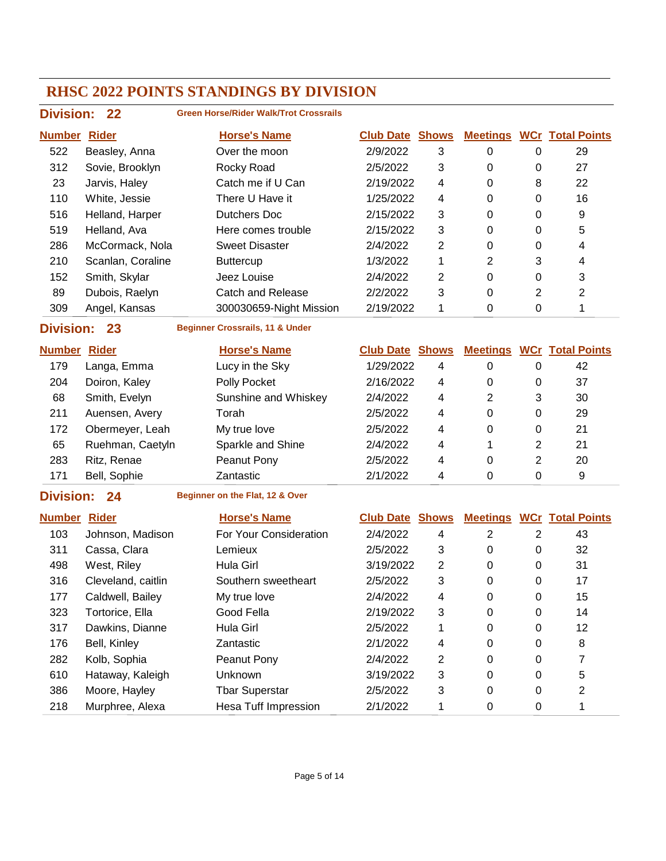| <b>Division:</b> | $22 \,$           | <b>Green Horse/Rider Walk/Trot Crossrails</b> |                  |              |                 |   |                         |
|------------------|-------------------|-----------------------------------------------|------------------|--------------|-----------------|---|-------------------------|
| <b>Number</b>    | <b>Rider</b>      | <b>Horse's Name</b>                           | <b>Club Date</b> | <b>Shows</b> | <b>Meetings</b> |   | <b>WCr</b> Total Points |
| 522              | Beasley, Anna     | Over the moon                                 | 2/9/2022         | 3            | 0               | 0 | 29                      |
| 312              | Sovie, Brooklyn   | Rocky Road                                    | 2/5/2022         | 3            | 0               | 0 | 27                      |
| 23               | Jarvis, Haley     | Catch me if U Can                             | 2/19/2022        | 4            | 0               | 8 | 22                      |
| 110              | White, Jessie     | There U Have it                               | 1/25/2022        | 4            | 0               | 0 | 16                      |
| 516              | Helland, Harper   | Dutchers Doc                                  | 2/15/2022        | 3            | 0               | 0 | 9                       |
| 519              | Helland, Ava      | Here comes trouble                            | 2/15/2022        | 3            | 0               | 0 | 5                       |
| 286              | McCormack, Nola   | <b>Sweet Disaster</b>                         | 2/4/2022         | 2            | 0               | 0 | 4                       |
| 210              | Scanlan, Coraline | <b>Buttercup</b>                              | 1/3/2022         | 1            | $\overline{2}$  | 3 | 4                       |
| 152              | Smith, Skylar     | Jeez Louise                                   | 2/4/2022         | 2            | 0               | 0 | 3                       |
| 89               | Dubois, Raelyn    | Catch and Release                             | 2/2/2022         | 3            | 0               | 2 | 2                       |
| 309              | Angel, Kansas     | 300030659-Night Mission                       | 2/19/2022        | 1            | 0               | 0 |                         |
| <b>Division:</b> | 23                | <b>Beginner Crossrails, 11 &amp; Under</b>    |                  |              |                 |   |                         |

| <b>Number</b> | Rider            | <b>Horse's Name</b>  | <b>Club Date Shows</b> |   | <b>Meetings</b> |   | <b>WCr</b> Total Points |
|---------------|------------------|----------------------|------------------------|---|-----------------|---|-------------------------|
| 179           | Langa, Emma      | Lucy in the Sky      | 1/29/2022              | 4 | 0               | 0 | 42                      |
| 204           | Doiron, Kaley    | Polly Pocket         | 2/16/2022              | 4 | 0               | 0 | 37                      |
| 68            | Smith, Evelyn    | Sunshine and Whiskey | 2/4/2022               | 4 | 2               | 3 | 30                      |
| 211           | Auensen, Avery   | Torah                | 2/5/2022               | 4 | 0               | 0 | 29                      |
| 172           | Obermeyer, Leah  | My true love         | 2/5/2022               | 4 | 0               | 0 | 21                      |
| 65            | Ruehman, Caetyln | Sparkle and Shine    | 2/4/2022               | 4 |                 | 2 | 21                      |
| 283           | Ritz, Renae      | Peanut Pony          | 2/5/2022               | 4 | 0               | 2 | 20                      |
| 171           | Bell, Sophie     | Zantastic            | 2/1/2022               | 4 | 0               | 0 | 9                       |

#### **Division: 24**

**Beginner on the Flat, 12 & Over**

| <b>Number</b> | <b>Rider</b>       | <b>Horse's Name</b>         | <b>Club Date</b> | Shows | <b>Meetings</b> |   | <b>WCr Total Points</b> |
|---------------|--------------------|-----------------------------|------------------|-------|-----------------|---|-------------------------|
| 103           | Johnson, Madison   | For Your Consideration      | 2/4/2022         | 4     | 2               | 2 | 43                      |
| 311           | Cassa, Clara       | Lemieux                     | 2/5/2022         | 3     | 0               | 0 | 32                      |
| 498           | West, Riley        | Hula Girl                   | 3/19/2022        | 2     | 0               | 0 | 31                      |
| 316           | Cleveland, caitlin | Southern sweetheart         | 2/5/2022         | 3     | 0               | 0 | 17                      |
| 177           | Caldwell, Bailey   | My true love                | 2/4/2022         | 4     | 0               | 0 | 15                      |
| 323           | Tortorice, Ella    | Good Fella                  | 2/19/2022        | 3     | 0               | 0 | 14                      |
| 317           | Dawkins, Dianne    | Hula Girl                   | 2/5/2022         | 1     | 0               | 0 | 12                      |
| 176           | Bell, Kinley       | Zantastic                   | 2/1/2022         | 4     | 0               | 0 | 8                       |
| 282           | Kolb, Sophia       | Peanut Pony                 | 2/4/2022         | 2     | 0               | 0 |                         |
| 610           | Hataway, Kaleigh   | <b>Unknown</b>              | 3/19/2022        | 3     | 0               | 0 | 5                       |
| 386           | Moore, Hayley      | <b>Tbar Superstar</b>       | 2/5/2022         | 3     | 0               | 0 | 2                       |
| 218           | Murphree, Alexa    | <b>Hesa Tuff Impression</b> | 2/1/2022         |       | 0               | 0 |                         |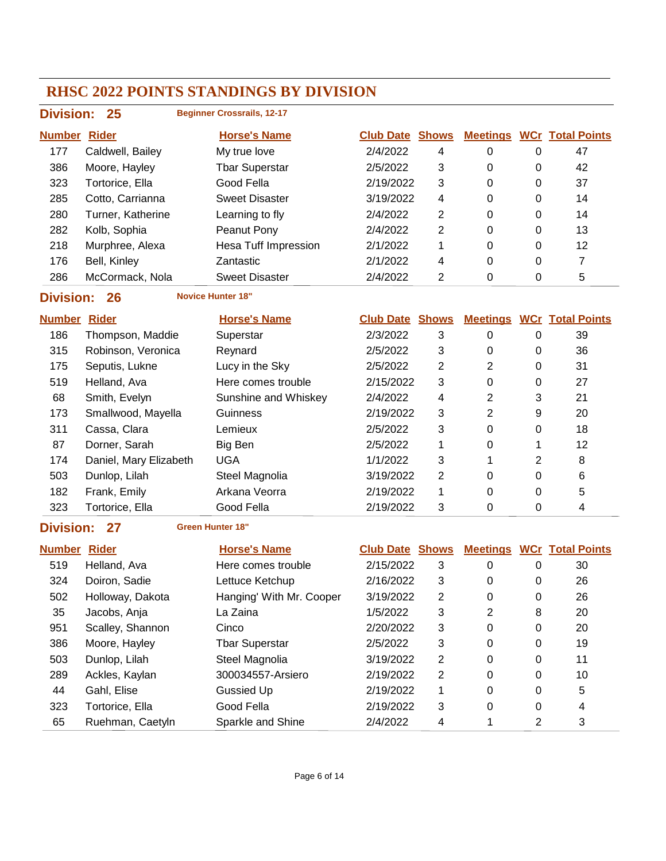| <b>Division:</b> | 25                | <b>Beginner Crossrails, 12-17</b> |                  |              |                 |          |                         |
|------------------|-------------------|-----------------------------------|------------------|--------------|-----------------|----------|-------------------------|
| <b>Number</b>    | <b>Rider</b>      | <b>Horse's Name</b>               | <b>Club Date</b> | <b>Shows</b> | <u>Meetings</u> |          | <b>WCr</b> Total Points |
| 177              | Caldwell, Bailey  | My true love                      | 2/4/2022         | 4            | 0               | 0        | 47                      |
| 386              | Moore, Hayley     | <b>Tbar Superstar</b>             | 2/5/2022         | 3            | 0               | 0        | 42                      |
| 323              | Tortorice. Ella   | Good Fella                        | 2/19/2022        | 3            | 0               | 0        | 37                      |
| 285              | Cotto, Carrianna  | <b>Sweet Disaster</b>             | 3/19/2022        | 4            | 0               | 0        | 14                      |
| 280              | Turner. Katherine | Learning to fly                   | 2/4/2022         | 2            | 0               | 0        | 14                      |
| 282              | Kolb, Sophia      | Peanut Pony                       | 2/4/2022         | 2            | 0               | $\Omega$ | 13                      |
| 218              | Murphree, Alexa   | <b>Hesa Tuff Impression</b>       | 2/1/2022         | 1            | 0               | 0        | 12                      |
| 176              | Bell, Kinley      | Zantastic                         | 2/1/2022         | 4            | 0               | 0        | 7                       |
| 286              | McCormack, Nola   | <b>Sweet Disaster</b>             | 2/4/2022         | 2            | 0               | 0        | 5                       |
|                  |                   |                                   |                  |              |                 |          |                         |

**Division: 26 Novice Hunter 18"**

| <b>Number</b> | <b>Rider</b>           | <b>Horse's Name</b>  | <b>Club Date Shows</b> |   | <b>Meetings</b> |   | <b>WCr Total Points</b> |
|---------------|------------------------|----------------------|------------------------|---|-----------------|---|-------------------------|
| 186           | Thompson, Maddie       | Superstar            | 2/3/2022               | 3 | 0               | 0 | 39                      |
| 315           | Robinson, Veronica     | Reynard              | 2/5/2022               | 3 | 0               | 0 | 36                      |
| 175           | Seputis, Lukne         | Lucy in the Sky      | 2/5/2022               | 2 | 2               | 0 | 31                      |
| 519           | Helland, Ava           | Here comes trouble   | 2/15/2022              | 3 | 0               | 0 | 27                      |
| 68            | Smith, Evelyn          | Sunshine and Whiskey | 2/4/2022               | 4 | 2               | 3 | 21                      |
| 173           | Smallwood, Mayella     | Guinness             | 2/19/2022              | 3 | 2               | 9 | 20                      |
| 311           | Cassa, Clara           | Lemieux              | 2/5/2022               | 3 | 0               | 0 | 18                      |
| 87            | Dorner, Sarah          | Big Ben              | 2/5/2022               |   | 0               |   | 12                      |
| 174           | Daniel, Mary Elizabeth | <b>UGA</b>           | 1/1/2022               | 3 |                 | 2 | 8                       |
| 503           | Dunlop, Lilah          | Steel Magnolia       | 3/19/2022              | 2 | 0               | 0 | 6                       |
| 182           | Frank, Emily           | Arkana Veorra        | 2/19/2022              | 1 | 0               | 0 | 5                       |
| 323           | Tortorice. Ella        | Good Fella           | 2/19/2022              | 3 | 0               | 0 | 4                       |

#### **Division: 27 Green Hunter 18"**

| <b>Number Rider</b> |                  | <b>Horse's Name</b>      | <b>Club Date Shows</b> |   |                |          | <b>Meetings WCr Total Points</b> |
|---------------------|------------------|--------------------------|------------------------|---|----------------|----------|----------------------------------|
| 519                 | Helland, Ava     | Here comes trouble       | 2/15/2022              | 3 | 0              | $\Omega$ | 30                               |
| 324                 | Doiron, Sadie    | Lettuce Ketchup          | 2/16/2022              | 3 | 0              | 0        | 26                               |
| 502                 | Holloway, Dakota | Hanging' With Mr. Cooper | 3/19/2022              | 2 | 0              | 0        | 26                               |
| 35                  | Jacobs, Anja     | La Zaina                 | 1/5/2022               | 3 | $\overline{2}$ | 8        | 20                               |
| 951                 | Scalley, Shannon | Cinco                    | 2/20/2022              | 3 | 0              | 0        | 20                               |
| 386                 | Moore, Hayley    | <b>Tbar Superstar</b>    | 2/5/2022               | 3 | 0              | 0        | 19                               |
| 503                 | Dunlop, Lilah    | Steel Magnolia           | 3/19/2022              | 2 | 0              | 0        | 11                               |
| 289                 | Ackles, Kaylan   | 300034557-Arsiero        | 2/19/2022              | 2 | $\mathbf{0}$   | 0        | 10                               |
| 44                  | Gahl, Elise      | Gussied Up               | 2/19/2022              | 1 | 0              | 0        | 5                                |
| 323                 | Tortorice, Ella  | Good Fella               | 2/19/2022              | 3 | 0              | 0        | 4                                |
| 65                  | Ruehman, Caetyln | Sparkle and Shine        | 2/4/2022               | 4 |                | 2        | 3                                |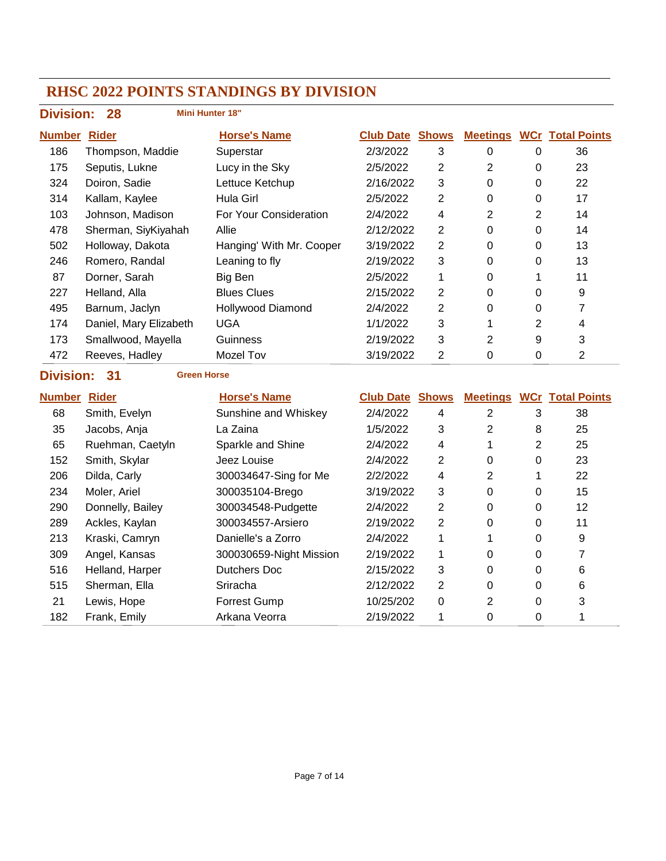| <b>Division:</b>    | <b>Mini Hunter 18"</b><br>28 |                          |                        |                |                 |                  |                                  |
|---------------------|------------------------------|--------------------------|------------------------|----------------|-----------------|------------------|----------------------------------|
| <b>Number Rider</b> |                              | <b>Horse's Name</b>      | <b>Club Date Shows</b> |                |                 |                  | <b>Meetings WCr Total Points</b> |
| 186                 | Thompson, Maddie             | Superstar                | 2/3/2022               | 3              | 0               | $\mathbf 0$      | 36                               |
| 175                 | Seputis, Lukne               | Lucy in the Sky          | 2/5/2022               | $\overline{2}$ | $\overline{2}$  | $\pmb{0}$        | 23                               |
| 324                 | Doiron, Sadie                | Lettuce Ketchup          | 2/16/2022              | 3              | 0               | 0                | 22                               |
| 314                 | Kallam, Kaylee               | Hula Girl                | 2/5/2022               | 2              | 0               | 0                | 17                               |
| 103                 | Johnson, Madison             | For Your Consideration   | 2/4/2022               | 4              | 2               | $\overline{2}$   | 14                               |
| 478                 | Sherman, SiyKiyahah          | Allie                    | 2/12/2022              | 2              | $\mathbf 0$     | $\mathbf 0$      | 14                               |
| 502                 | Holloway, Dakota             | Hanging' With Mr. Cooper | 3/19/2022              | $\overline{2}$ | 0               | $\mathbf 0$      | 13                               |
| 246                 | Romero, Randal               | Leaning to fly           | 2/19/2022              | 3              | $\overline{0}$  | $\boldsymbol{0}$ | 13                               |
| 87                  | Dorner, Sarah                | <b>Big Ben</b>           | 2/5/2022               | 1              | 0               | $\mathbf{1}$     | 11                               |
| 227                 | Helland, Alla                | <b>Blues Clues</b>       | 2/15/2022              | 2              | 0               | 0                | 9                                |
| 495                 | Barnum, Jaclyn               | <b>Hollywood Diamond</b> | 2/4/2022               | $\overline{2}$ | 0               | $\mathbf 0$      | $\overline{7}$                   |
| 174                 | Daniel, Mary Elizabeth       | <b>UGA</b>               | 1/1/2022               | 3              | 1               | $\overline{2}$   | $\overline{\mathbf{4}}$          |
| 173                 | Smallwood, Mayella           | Guinness                 | 2/19/2022              | 3              | $\overline{2}$  | 9                | 3                                |
| 472                 | Reeves, Hadley               | <b>Mozel Tov</b>         | 3/19/2022              | $\overline{2}$ | $\mathbf 0$     | $\mathbf 0$      | $\overline{2}$                   |
|                     |                              |                          |                        |                |                 |                  |                                  |
| <b>Division:</b>    | 31<br><b>Green Horse</b>     |                          |                        |                |                 |                  |                                  |
| <b>Number Rider</b> |                              | <b>Horse's Name</b>      | <b>Club Date Shows</b> |                | <b>Meetings</b> |                  | <b>WCr</b> Total Points          |
| 68                  | Smith, Evelyn                | Sunshine and Whiskey     | 2/4/2022               | 4              | $\overline{2}$  | 3                | 38                               |
| 35                  | Jacobs, Anja                 | La Zaina                 | 1/5/2022               | 3              | $\overline{2}$  | 8                | 25                               |
| 65                  | Ruehman, Caetyln             | Sparkle and Shine        | 2/4/2022               | 4              | 1               | $\overline{2}$   | 25                               |
| 152                 | Smith, Skylar                | Jeez Louise              | 2/4/2022               | 2              | 0               | $\mathbf 0$      | 23                               |
| 206                 | Dilda, Carly                 | 300034647-Sing for Me    | 2/2/2022               | 4              | $\overline{2}$  | 1                | 22                               |
| 234                 | Moler, Ariel                 | 300035104-Brego          | 3/19/2022              | 3              | 0               | $\pmb{0}$        | 15                               |
| 290                 | Donnelly, Bailey             | 300034548-Pudgette       | 2/4/2022               | 2              | 0               | $\mathbf 0$      | 12                               |
| 289                 | Ackles, Kaylan               | 300034557-Arsiero        | 2/19/2022              | $\overline{2}$ | 0               | $\mathbf 0$      | 11                               |
| 213                 | Kraski, Camryn               | Danielle's a Zorro       | 2/4/2022               | 1              | 1               | $\mathbf 0$      | 9                                |
| 309                 | Angel, Kansas                | 300030659-Night Mission  | 2/19/2022              | 1              | 0               | 0                | $\overline{7}$                   |
| 516                 | Helland, Harper              | <b>Dutchers Doc</b>      | 2/15/2022              | 3              | 0               | 0                | 6                                |
| 515                 | Sherman, Ella                | Sriracha                 | 2/12/2022              | 2              | 0               | 0                | 6                                |
| 21                  | Lewis, Hope                  | <b>Forrest Gump</b>      | 10/25/202              | $\mathbf 0$    | $\overline{2}$  | 0                | 3                                |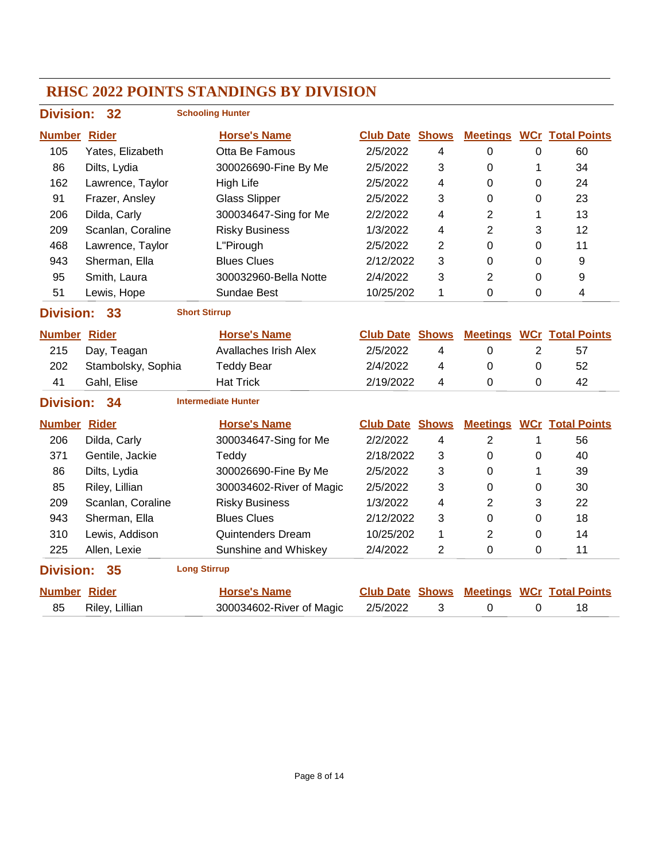#### **RHSC 2022 POINTS STANDINGS BY DIVISION Division: 32 Number Rider Horse's Name Club Date Total Points Shows Meetings WCr Schooling Hunter** 105 Yates, Elizabeth Otta Be Famous 2/5/2022 4 0 0 60 86 Dilts, Lydia 300026690-Fine By Me 2/5/2022 3 0 1 34 162 Lawrence, Taylor High Life 2/5/2022 4 0 0 24 91 Frazer, Ansley Glass Slipper 2/5/2022 3 0 0 23 206 Dilda, Carly 300034647-Sing for Me 2/2/2022 4 2 1 13 209 Scanlan, Coraline Risky Business 1/3/2022 4 2 3 12 468 Lawrence, Taylor L"Pirough 2/5/2022 2 0 0 11 943 Sherman, Ella Blues Clues 2/12/2022 3 0 0 9 95 Smith, Laura 300032960-Bella Notte 2/4/2022 3 2 0 9 51 Lewis, Hope Sundae Best 10/25/202 1 0 0 4 **Division: 33 Number Rider Horse's Name Club Date Total Points Shows Meetings WCr Short Stirrup** 215 Day, Teagan Avallaches Irish Alex 2/5/2022 4 0 2 57 202 Stambolsky, Sophia Teddy Bear 2/4/2022 4 0 0 52 41 Gahl, Elise Hat Trick 2/19/2022 4 0 0 42 **Division: 34 Number Rider Horse's Name Club Date Total Points Shows Meetings WCr Intermediate Hunter** 206 Dilda, Carly 300034647-Sing for Me 2/2/2022 4 2 1 56 371 Gentile, Jackie Teddy 2/18/2022 3 0 0 40 86 Dilts, Lydia 300026690-Fine By Me 2/5/2022 3 0 1 39 85 Riley, Lillian 300034602-River of Magic 2/5/2022 3 0 0 30 209 Scanlan, Coraline Risky Business 1/3/2022 4 2 3 22 943 Sherman, Ella Blues Clues 2/12/2022 3 0 0 18 310 Lewis, Addison Quintenders Dream 10/25/202 1 2 0 14 225 Allen, Lexie **Sunshine and Whiskey 2/4/2022** 2 0 0 11 **Division: 35 Number Rider Horse's Name Club Date Total Points Shows Meetings WCr Long Stirrup** 85 Riley, Lillian 300034602-River of Magic  $2/5/2022$  3 0 0 18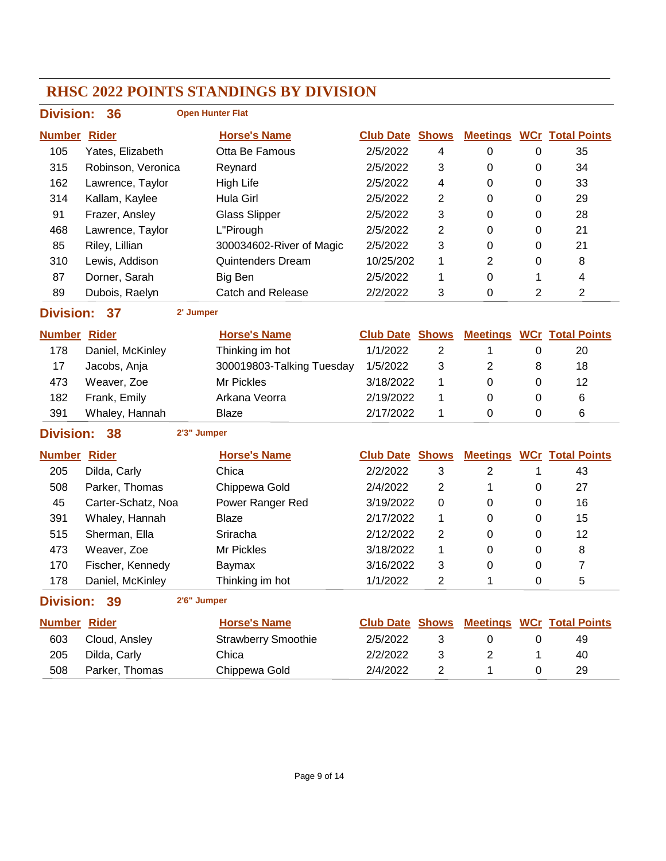| <b>Division:</b>    | 36                 |             | <b>Open Hunter Flat</b>    |                        |                |                  |                |                                  |
|---------------------|--------------------|-------------|----------------------------|------------------------|----------------|------------------|----------------|----------------------------------|
| <b>Number</b>       | <b>Rider</b>       |             | <b>Horse's Name</b>        | <b>Club Date Shows</b> |                |                  |                | <b>Meetings WCr Total Points</b> |
| 105                 | Yates, Elizabeth   |             | Otta Be Famous             | 2/5/2022               | 4              | $\boldsymbol{0}$ | 0              | 35                               |
| 315                 | Robinson, Veronica |             | Reynard                    | 2/5/2022               | 3              | 0                | 0              | 34                               |
| 162                 | Lawrence, Taylor   |             | <b>High Life</b>           | 2/5/2022               | 4              | 0                | 0              | 33                               |
| 314                 | Kallam, Kaylee     |             | Hula Girl                  | 2/5/2022               | $\overline{2}$ | 0                | 0              | 29                               |
| 91                  | Frazer, Ansley     |             | <b>Glass Slipper</b>       | 2/5/2022               | 3              | 0                | 0              | 28                               |
| 468                 | Lawrence, Taylor   |             | L"Pirough                  | 2/5/2022               | 2              | 0                | 0              | 21                               |
| 85                  | Riley, Lillian     |             | 300034602-River of Magic   | 2/5/2022               | 3              | 0                | 0              | 21                               |
| 310                 | Lewis, Addison     |             | <b>Quintenders Dream</b>   | 10/25/202              | 1              | $\overline{2}$   | 0              | 8                                |
| 87                  | Dorner, Sarah      |             | Big Ben                    | 2/5/2022               | 1              | 0                | 1              | 4                                |
| 89                  | Dubois, Raelyn     |             | <b>Catch and Release</b>   | 2/2/2022               | 3              | 0                | $\overline{2}$ | $\overline{2}$                   |
| <b>Division:</b>    | 37                 | 2' Jumper   |                            |                        |                |                  |                |                                  |
| <b>Number</b>       | <b>Rider</b>       |             | <b>Horse's Name</b>        | <b>Club Date Shows</b> |                |                  |                | <b>Meetings WCr Total Points</b> |
| 178                 | Daniel, McKinley   |             | Thinking im hot            | 1/1/2022               | $\overline{2}$ | 1                | 0              | 20                               |
| 17                  | Jacobs, Anja       |             | 300019803-Talking Tuesday  | 1/5/2022               | 3              | 2                | 8              | 18                               |
| 473                 | Weaver, Zoe        |             | Mr Pickles                 | 3/18/2022              | 1              | 0                | 0              | 12                               |
| 182                 | Frank, Emily       |             | Arkana Veorra              | 2/19/2022              | 1              | 0                | 0              | 6                                |
| 391                 | Whaley, Hannah     |             | <b>Blaze</b>               | 2/17/2022              | 1              | 0                | 0              | 6                                |
| <b>Division:</b>    | 38                 | 2'3" Jumper |                            |                        |                |                  |                |                                  |
| <b>Number</b>       | <b>Rider</b>       |             | <b>Horse's Name</b>        | <b>Club Date Shows</b> |                |                  |                | <b>Meetings WCr Total Points</b> |
| 205                 | Dilda, Carly       |             | Chica                      | 2/2/2022               | 3              | $\overline{2}$   | 1              | 43                               |
| 508                 | Parker, Thomas     |             | Chippewa Gold              | 2/4/2022               | $\overline{2}$ | 1                | 0              | 27                               |
| 45                  | Carter-Schatz, Noa |             | Power Ranger Red           | 3/19/2022              | 0              | 0                | 0              | 16                               |
| 391                 | Whaley, Hannah     |             | <b>Blaze</b>               | 2/17/2022              | 1              | 0                | 0              | 15                               |
| 515                 | Sherman, Ella      |             | Sriracha                   | 2/12/2022              | 2              | 0                | 0              | 12                               |
| 473                 | Weaver, Zoe        |             | Mr Pickles                 | 3/18/2022              | 1              | 0                | 0              | 8                                |
| 170                 | Fischer, Kennedy   |             | Baymax                     | 3/16/2022              | 3              | 0                | 0              | 7                                |
| 178                 | Daniel, McKinley   |             | Thinking im hot            | 1/1/2022               | 2              | 1                | 0              | 5                                |
| <b>Division:</b>    | 39                 | 2'6" Jumper |                            |                        |                |                  |                |                                  |
| <b>Number Rider</b> |                    |             | <b>Horse's Name</b>        | <b>Club Date Shows</b> |                |                  |                | <b>Meetings WCr Total Points</b> |
| 603                 | Cloud, Ansley      |             | <b>Strawberry Smoothie</b> | 2/5/2022               | 3              | $\pmb{0}$        | 0              | 49                               |
| 205                 | Dilda, Carly       |             | Chica                      | 2/2/2022               | 3              | $\overline{2}$   | 1              | 40                               |
| 508                 | Parker, Thomas     |             | Chippewa Gold              | 2/4/2022               | $\overline{c}$ | 1                | 0              | 29                               |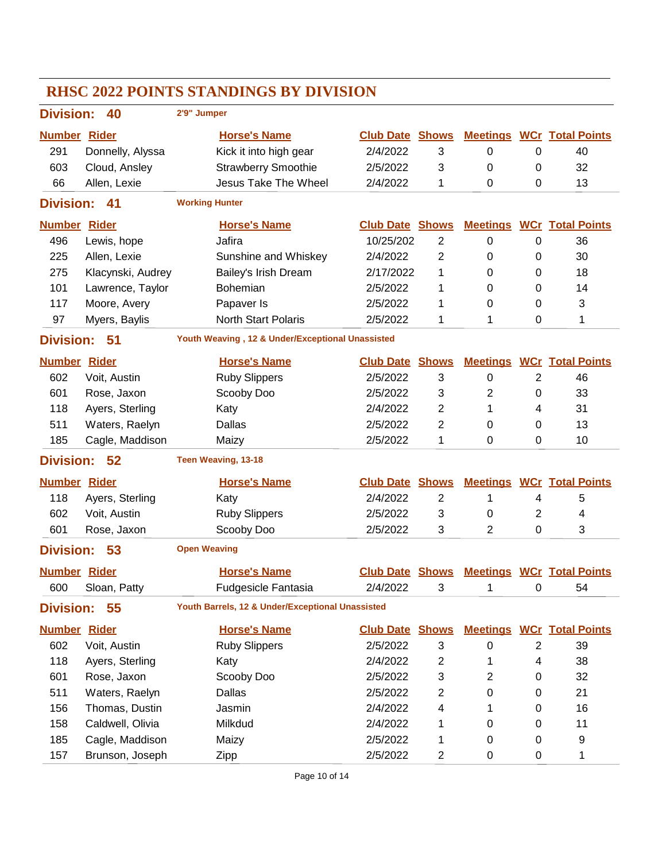| <b>RHSC 2022 POINTS STANDINGS BY DIVISION</b> |                                       |                                                  |                                                  |                |                 |                         |                                  |  |  |
|-----------------------------------------------|---------------------------------------|--------------------------------------------------|--------------------------------------------------|----------------|-----------------|-------------------------|----------------------------------|--|--|
|                                               | 2'9" Jumper<br><b>Division:</b><br>40 |                                                  |                                                  |                |                 |                         |                                  |  |  |
| <b>Number Rider</b>                           |                                       | <b>Horse's Name</b>                              | <b>Club Date</b>                                 | <b>Shows</b>   | <b>Meetings</b> |                         | <b>WCr</b> Total Points          |  |  |
| 291                                           | Donnelly, Alyssa                      | Kick it into high gear                           | 2/4/2022                                         | 3              | 0               | 0                       | 40                               |  |  |
| 603                                           | Cloud, Ansley                         | <b>Strawberry Smoothie</b>                       | 2/5/2022                                         | 3              | 0               | 0                       | 32                               |  |  |
| 66                                            | Allen, Lexie                          | <b>Jesus Take The Wheel</b>                      | 2/4/2022                                         | 1              | 0               | 0                       | 13                               |  |  |
| <b>Division:</b>                              | 41                                    | <b>Working Hunter</b>                            |                                                  |                |                 |                         |                                  |  |  |
| <b>Number Rider</b>                           |                                       | <b>Horse's Name</b>                              | <b>Club Date</b>                                 | <b>Shows</b>   | <b>Meetings</b> |                         | <b>WCr</b> Total Points          |  |  |
| 496                                           | Lewis, hope                           | Jafira                                           | 10/25/202                                        | $\overline{2}$ | $\mathbf 0$     | 0                       | 36                               |  |  |
| 225                                           | Allen, Lexie                          | Sunshine and Whiskey                             | 2/4/2022                                         | $\overline{2}$ | 0               | 0                       | 30                               |  |  |
| 275                                           | Klacynski, Audrey                     | Bailey's Irish Dream                             | 2/17/2022                                        | 1              | 0               | 0                       | 18                               |  |  |
| 101                                           | Lawrence, Taylor                      | Bohemian                                         | 2/5/2022                                         | 1              | 0               | 0                       | 14                               |  |  |
| 117                                           | Moore, Avery                          | Papaver Is                                       | 2/5/2022                                         | 1              | 0               | 0                       | 3                                |  |  |
| 97                                            | Myers, Baylis                         | <b>North Start Polaris</b>                       | 2/5/2022                                         | 1              | 1               | 0                       | 1                                |  |  |
| <b>Division:</b>                              | 51                                    |                                                  | Youth Weaving, 12 & Under/Exceptional Unassisted |                |                 |                         |                                  |  |  |
| <b>Number Rider</b>                           |                                       | <b>Horse's Name</b>                              | <b>Club Date</b>                                 | <b>Shows</b>   | <b>Meetings</b> |                         | <b>WCr</b> Total Points          |  |  |
| 602                                           | Voit, Austin                          | <b>Ruby Slippers</b>                             | 2/5/2022                                         | 3              | $\pmb{0}$       | $\overline{2}$          | 46                               |  |  |
| 601                                           | Rose, Jaxon                           | Scooby Doo                                       | 2/5/2022                                         | 3              | $\overline{2}$  | 0                       | 33                               |  |  |
| 118                                           | Ayers, Sterling                       | Katy                                             | 2/4/2022                                         | 2              | 1               | 4                       | 31                               |  |  |
| 511                                           | Waters, Raelyn                        | Dallas                                           | 2/5/2022                                         | 2              | 0               | 0                       | 13                               |  |  |
| 185                                           | Cagle, Maddison                       | Maizy                                            | 2/5/2022                                         | 1              | 0               | 0                       | 10                               |  |  |
| <b>Division:</b>                              | 52                                    | Teen Weaving, 13-18                              |                                                  |                |                 |                         |                                  |  |  |
| <b>Number Rider</b>                           |                                       | <b>Horse's Name</b>                              | <b>Club Date</b>                                 | <b>Shows</b>   | <b>Meetings</b> |                         | <b>WCr</b> Total Points          |  |  |
| 118                                           | Ayers, Sterling                       | Katy                                             | 2/4/2022                                         | $\overline{2}$ | 1               | 4                       | 5                                |  |  |
| 602                                           | Voit, Austin                          | <b>Ruby Slippers</b>                             | 2/5/2022                                         | 3              | 0               | 2                       | 4                                |  |  |
| 601                                           | Rose, Jaxon                           | Scooby Doo                                       | 2/5/2022                                         | 3              | $\overline{2}$  | 0                       | 3                                |  |  |
| <b>Division:</b>                              | 53                                    | <b>Open Weaving</b>                              |                                                  |                |                 |                         |                                  |  |  |
| <b>Number Rider</b>                           |                                       | <b>Horse's Name</b>                              | <b>Club Date Shows</b>                           |                |                 |                         | <b>Meetings WCr Total Points</b> |  |  |
| 600                                           | Sloan, Patty                          | Fudgesicle Fantasia                              | 2/4/2022                                         | 3              | 1               | 0                       | 54                               |  |  |
| <b>Division:</b>                              | 55                                    | Youth Barrels, 12 & Under/Exceptional Unassisted |                                                  |                |                 |                         |                                  |  |  |
| <b>Number Rider</b>                           |                                       | <b>Horse's Name</b>                              | <b>Club Date Shows</b>                           |                |                 |                         | <b>Meetings WCr Total Points</b> |  |  |
| 602                                           | Voit, Austin                          | <b>Ruby Slippers</b>                             | 2/5/2022                                         | 3              | 0               | $\overline{\mathbf{c}}$ | 39                               |  |  |
| 118                                           | Ayers, Sterling                       | Katy                                             | 2/4/2022                                         | 2              | 1               | 4                       | 38                               |  |  |
| 601                                           | Rose, Jaxon                           | Scooby Doo                                       | 2/5/2022                                         | 3              | $\overline{2}$  | 0                       | 32                               |  |  |
| 511                                           | Waters, Raelyn                        | Dallas                                           | 2/5/2022                                         | $\overline{c}$ | 0               | 0                       | 21                               |  |  |
| 156                                           | Thomas, Dustin                        | Jasmin                                           | 2/4/2022                                         | 4              | 1               | 0                       | 16                               |  |  |
| 158                                           | Caldwell, Olivia                      | Milkdud                                          | 2/4/2022                                         | 1              | 0               | 0                       | 11                               |  |  |
| 185                                           | Cagle, Maddison                       | Maizy                                            | 2/5/2022                                         | 1              | 0               | 0                       | 9                                |  |  |
| 157                                           | Brunson, Joseph                       | <b>Zipp</b>                                      | 2/5/2022                                         | 2              | 0               | 0                       | 1                                |  |  |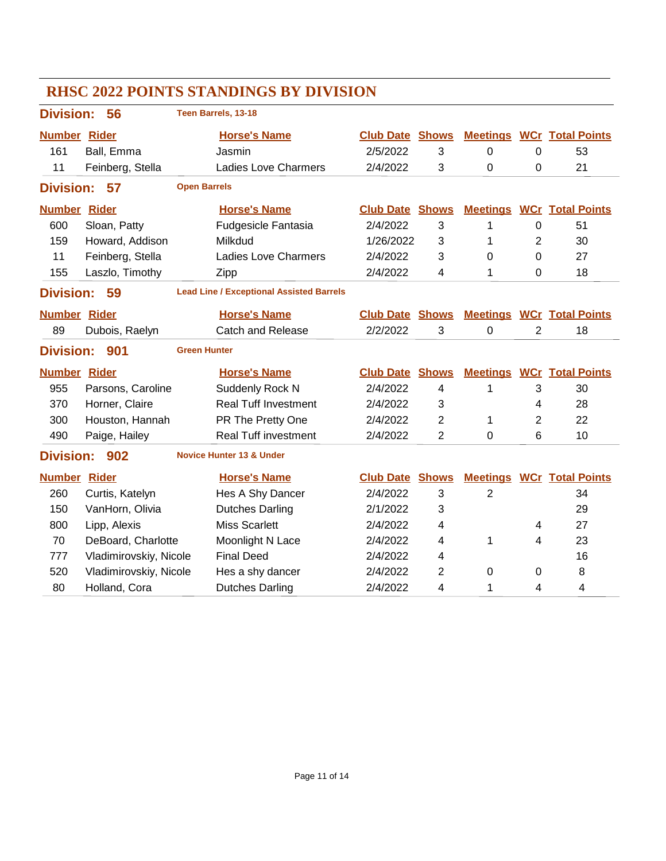| <b>RHSC 2022 POINTS STANDINGS BY DIVISION</b>                             |                        |                     |                                     |                        |                          |                 |                |                                  |
|---------------------------------------------------------------------------|------------------------|---------------------|-------------------------------------|------------------------|--------------------------|-----------------|----------------|----------------------------------|
| <b>Division:</b>                                                          | 56                     |                     | Teen Barrels, 13-18                 |                        |                          |                 |                |                                  |
| <b>Number Rider</b>                                                       |                        |                     | <b>Horse's Name</b>                 | <b>Club Date</b>       | <b>Shows</b>             |                 |                | <b>Meetings WCr Total Points</b> |
| 161                                                                       | Ball, Emma             |                     | Jasmin                              | 2/5/2022               | 3                        | 0               | $\mathbf 0$    | 53                               |
| 11                                                                        | Feinberg, Stella       |                     | <b>Ladies Love Charmers</b>         | 2/4/2022               | 3                        | 0               | 0              | 21                               |
| <b>Division:</b>                                                          | 57                     | <b>Open Barrels</b> |                                     |                        |                          |                 |                |                                  |
| <b>Number Rider</b>                                                       |                        |                     | <b>Horse's Name</b>                 | <b>Club Date</b>       | <b>Shows</b>             | <b>Meetings</b> |                | <b>WCr</b> Total Points          |
| 600                                                                       | Sloan, Patty           |                     | <b>Fudgesicle Fantasia</b>          | 2/4/2022               | 3                        | 1               | $\mathbf 0$    | 51                               |
| 159                                                                       | Howard, Addison        |                     | Milkdud                             | 1/26/2022              | 3                        | 1               | 2              | 30                               |
| 11                                                                        | Feinberg, Stella       |                     | <b>Ladies Love Charmers</b>         | 2/4/2022               | 3                        | 0               | $\Omega$       | 27                               |
| 155                                                                       | Laszlo, Timothy        |                     | Zipp                                | 2/4/2022               | 4                        | 1               | $\mathbf 0$    | 18                               |
| <b>Division:</b><br>59<br><b>Lead Line / Exceptional Assisted Barrels</b> |                        |                     |                                     |                        |                          |                 |                |                                  |
| <b>Number Rider</b>                                                       |                        |                     | <b>Horse's Name</b>                 | <b>Club Date Shows</b> |                          |                 |                | <b>Meetings WCr Total Points</b> |
| 89                                                                        | Dubois, Raelyn         |                     | Catch and Release                   | 2/2/2022               | 3                        | 0               | $\overline{2}$ | 18                               |
| <b>Green Hunter</b><br><b>Division:</b><br>901                            |                        |                     |                                     |                        |                          |                 |                |                                  |
|                                                                           |                        |                     |                                     |                        |                          |                 |                |                                  |
| <b>Number Rider</b>                                                       |                        |                     | <b>Horse's Name</b>                 | <b>Club Date</b>       | <b>Shows</b>             | <b>Meetings</b> |                | <b>WCr</b> Total Points          |
| 955                                                                       | Parsons, Caroline      |                     | Suddenly Rock N                     | 2/4/2022               | $\overline{4}$           | 1               | 3              | 30                               |
| 370                                                                       | Horner, Claire         |                     | <b>Real Tuff Investment</b>         | 2/4/2022               | 3                        |                 | 4              | 28                               |
| 300                                                                       | Houston, Hannah        |                     | PR The Pretty One                   | 2/4/2022               | $\overline{2}$           | 1               | 2              | 22                               |
| 490                                                                       | Paige, Hailey          |                     | <b>Real Tuff investment</b>         | 2/4/2022               | $\overline{2}$           | $\mathbf 0$     | 6              | 10                               |
| <b>Division:</b>                                                          | 902                    |                     | <b>Novice Hunter 13 &amp; Under</b> |                        |                          |                 |                |                                  |
| <b>Number Rider</b>                                                       |                        |                     | <b>Horse's Name</b>                 | <b>Club Date</b>       | <b>Shows</b>             |                 |                | <b>Meetings WCr Total Points</b> |
| 260                                                                       | Curtis, Katelyn        |                     | Hes A Shy Dancer                    | 2/4/2022               | 3                        | $\overline{2}$  |                | 34                               |
| 150                                                                       | VanHorn, Olivia        |                     | <b>Dutches Darling</b>              | 2/1/2022               | 3                        |                 |                | 29                               |
| 800                                                                       | Lipp, Alexis           |                     | <b>Miss Scarlett</b>                | 2/4/2022               | 4                        |                 | 4              | 27                               |
| 70                                                                        | DeBoard, Charlotte     |                     | Moonlight N Lace                    | 2/4/2022               | $\overline{\mathcal{A}}$ | 1               | 4              | 23                               |
| 777                                                                       | Vladimirovskiy, Nicole |                     | <b>Final Deed</b>                   | 2/4/2022               | $\overline{\mathcal{A}}$ |                 |                | 16                               |
| 520                                                                       | Vladimirovskiy, Nicole |                     | Hes a shy dancer                    | 2/4/2022               | 2                        | 0               | 0              | 8                                |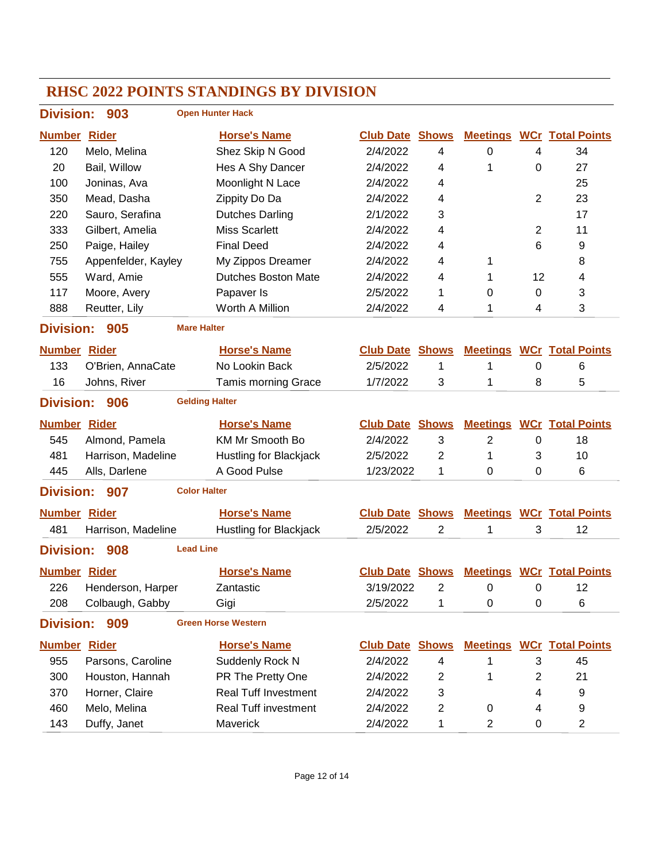| <b>Division:</b>                                      | 903                          | <b>Open Hunter Hack</b>     |                        |                |                 |                |                                  |  |
|-------------------------------------------------------|------------------------------|-----------------------------|------------------------|----------------|-----------------|----------------|----------------------------------|--|
| <b>Number</b>                                         | <b>Rider</b>                 | <b>Horse's Name</b>         | <b>Club Date</b>       | <b>Shows</b>   | <b>Meetings</b> |                | <b>WCr Total Points</b>          |  |
| 120                                                   | Melo, Melina                 | Shez Skip N Good            | 2/4/2022               | 4              | 0               | 4              | 34                               |  |
| 20                                                    | Bail, Willow                 | Hes A Shy Dancer            | 2/4/2022               | 4              | 1               | 0              | 27                               |  |
| 100                                                   | Joninas, Ava                 | Moonlight N Lace            | 2/4/2022               | 4              |                 |                | 25                               |  |
| 350                                                   | Mead, Dasha                  | Zippity Do Da               | 2/4/2022               | 4              |                 | $\overline{2}$ | 23                               |  |
| 220                                                   | Sauro, Serafina              | <b>Dutches Darling</b>      | 2/1/2022               | 3              |                 |                | 17                               |  |
| 333                                                   | Gilbert, Amelia              | <b>Miss Scarlett</b>        | 2/4/2022               | 4              |                 | $\overline{2}$ | 11                               |  |
| 250                                                   | Paige, Hailey                | <b>Final Deed</b>           | 2/4/2022               | 4              |                 | 6              | 9                                |  |
| 755                                                   | Appenfelder, Kayley          | My Zippos Dreamer           | 2/4/2022               | 4              | 1               |                | 8                                |  |
| 555                                                   | Ward, Amie                   | <b>Dutches Boston Mate</b>  | 2/4/2022               | 4              | 1               | 12             | 4                                |  |
| 117                                                   | Moore, Avery                 | Papaver Is                  | 2/5/2022               | 1              | 0               | 0              | 3                                |  |
| 888                                                   | Reutter, Lily                | Worth A Million             | 2/4/2022               | 4              | 1               | 4              | 3                                |  |
| <b>Division:</b>                                      | 905<br><b>Mare Halter</b>    |                             |                        |                |                 |                |                                  |  |
| <b>Number Rider</b>                                   |                              | <b>Horse's Name</b>         | <b>Club Date</b>       | <b>Shows</b>   |                 |                | <b>Meetings WCr Total Points</b> |  |
| 133                                                   | O'Brien, AnnaCate            | No Lookin Back              | 2/5/2022               | 1              | 1               | 0              | 6                                |  |
| 16                                                    | Johns, River                 | <b>Tamis morning Grace</b>  | 1/7/2022               | 3              | 1               | 8              | 5                                |  |
| <b>Division:</b>                                      | 906<br><b>Gelding Halter</b> |                             |                        |                |                 |                |                                  |  |
| <b>Number Rider</b>                                   |                              | <b>Horse's Name</b>         | <b>Club Date Shows</b> |                |                 |                | <b>Meetings WCr Total Points</b> |  |
| 545                                                   | Almond, Pamela               | <b>KM Mr Smooth Bo</b>      | 2/4/2022               | 3              | 2               | 0              | 18                               |  |
| 481                                                   | Harrison, Madeline           | Hustling for Blackjack      | 2/5/2022               | $\overline{2}$ | 1               | 3              | 10                               |  |
| 445                                                   | Alls, Darlene                | A Good Pulse                | 1/23/2022              | 1              | 0               | $\Omega$       | 6                                |  |
| <b>Division:</b>                                      | <b>Color Halter</b><br>907   |                             |                        |                |                 |                |                                  |  |
| <b>Number Rider</b>                                   |                              | <b>Horse's Name</b>         | <b>Club Date</b>       | <b>Shows</b>   |                 |                | <b>Meetings WCr Total Points</b> |  |
| 481                                                   | Harrison, Madeline           | Hustling for Blackjack      | 2/5/2022               | $\overline{c}$ | 1               | 3              | 12                               |  |
| <b>Division:</b>                                      | <b>Lead Line</b><br>908      |                             |                        |                |                 |                |                                  |  |
| <b>Number Rider</b>                                   |                              | <b>Horse's Name</b>         | <b>Club Date Shows</b> |                |                 |                | <b>Meetings WCr Total Points</b> |  |
| 226                                                   | Henderson, Harper            | Zantastic                   | 3/19/2022              | 2              | 0               | 0              | 12                               |  |
| 208                                                   | Colbaugh, Gabby              | Gigi                        | 2/5/2022               | 1              | 0               | 0              | 6                                |  |
| <b>Green Horse Western</b><br><b>Division:</b><br>909 |                              |                             |                        |                |                 |                |                                  |  |
| <b>Number Rider</b>                                   |                              | <b>Horse's Name</b>         | <b>Club Date Shows</b> |                |                 |                | <b>Meetings WCr Total Points</b> |  |
| 955                                                   | Parsons, Caroline            | Suddenly Rock N             | 2/4/2022               | 4              | 1               | 3              | 45                               |  |
| 300                                                   | Houston, Hannah              | PR The Pretty One           | 2/4/2022               | 2              | 1               | 2              | 21                               |  |
| 370                                                   | Horner, Claire               | <b>Real Tuff Investment</b> | 2/4/2022               | 3              |                 | 4              | 9                                |  |
| 460                                                   | Melo, Melina                 | <b>Real Tuff investment</b> | 2/4/2022               | 2              | 0               | 4              | 9                                |  |
| 143                                                   | Duffy, Janet                 | Maverick                    | 2/4/2022               | 1              | 2               | 0              | 2                                |  |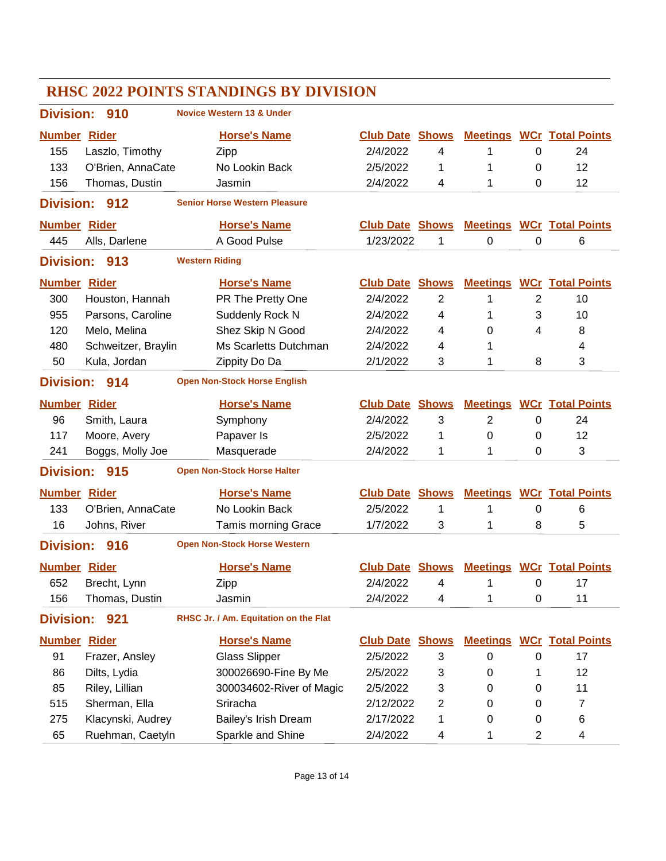|                     |                     |                       | <b>RHSC 2022 POINTS STANDINGS BY DIVISION</b> |                        |                         |                 |                |                                  |
|---------------------|---------------------|-----------------------|-----------------------------------------------|------------------------|-------------------------|-----------------|----------------|----------------------------------|
| <b>Division:</b>    | 910                 |                       | <b>Novice Western 13 &amp; Under</b>          |                        |                         |                 |                |                                  |
| <b>Number Rider</b> |                     |                       | <b>Horse's Name</b>                           | <b>Club Date</b>       | Shows                   | <b>Meetings</b> |                | <b>WCr</b> Total Points          |
| 155                 | Laszlo, Timothy     |                       | Zipp                                          | 2/4/2022               | 4                       | 1               | 0              | 24                               |
| 133                 | O'Brien, AnnaCate   |                       | No Lookin Back                                | 2/5/2022               | 1                       | 1               | 0              | 12                               |
| 156                 | Thomas, Dustin      |                       | Jasmin                                        | 2/4/2022               | 4                       | 1               | 0              | 12                               |
| <b>Division:</b>    | 912                 |                       | <b>Senior Horse Western Pleasure</b>          |                        |                         |                 |                |                                  |
| <b>Number Rider</b> |                     |                       | <b>Horse's Name</b>                           | <b>Club Date Shows</b> |                         |                 |                | <b>Meetings WCr Total Points</b> |
| 445                 | Alls, Darlene       |                       | A Good Pulse                                  | 1/23/2022              | 1                       | 0               | 0              | 6                                |
| <b>Division:</b>    | 913                 | <b>Western Riding</b> |                                               |                        |                         |                 |                |                                  |
| <b>Number Rider</b> |                     |                       | <b>Horse's Name</b>                           | <b>Club Date</b>       | <b>Shows</b>            | <b>Meetings</b> |                | <b>WCr</b> Total Points          |
| 300                 | Houston, Hannah     |                       | PR The Pretty One                             | 2/4/2022               | $\overline{2}$          | 1               | $\overline{2}$ | 10                               |
| 955                 | Parsons, Caroline   |                       | Suddenly Rock N                               | 2/4/2022               | 4                       | 1               | 3              | 10                               |
| 120                 | Melo, Melina        |                       | Shez Skip N Good                              | 2/4/2022               | 4                       | 0               | 4              | 8                                |
| 480                 | Schweitzer, Braylin |                       | Ms Scarletts Dutchman                         | 2/4/2022               | 4                       | 1               |                | 4                                |
| 50                  | Kula, Jordan        |                       | Zippity Do Da                                 | 2/1/2022               | 3                       | 1               | 8              | 3                                |
| <b>Division:</b>    | 914                 |                       | <b>Open Non-Stock Horse English</b>           |                        |                         |                 |                |                                  |
| <b>Number Rider</b> |                     |                       | <b>Horse's Name</b>                           | <b>Club Date</b>       | <b>Shows</b>            | <b>Meetings</b> |                | <b>WCr</b> Total Points          |
| 96                  | Smith, Laura        |                       | Symphony                                      | 2/4/2022               | 3                       | $\overline{2}$  | 0              | 24                               |
| 117                 | Moore, Avery        |                       | Papaver Is                                    | 2/5/2022               | 1                       | 0               | 0              | 12                               |
| 241                 | Boggs, Molly Joe    |                       | Masquerade                                    | 2/4/2022               | 1                       | 1               | 0              | 3                                |
| <b>Division:</b>    | 915                 |                       | <b>Open Non-Stock Horse Halter</b>            |                        |                         |                 |                |                                  |
| <b>Number Rider</b> |                     |                       | <b>Horse's Name</b>                           | <b>Club Date</b>       | <b>Shows</b>            | <b>Meetings</b> |                | <b>WCr</b> Total Points          |
| 133                 | O'Brien, AnnaCate   |                       | No Lookin Back                                | 2/5/2022               | 1                       | 1               | 0              | 6                                |
| 16                  | Johns, River        |                       | <b>Tamis morning Grace</b>                    | 1/7/2022               | 3                       | 1               | 8              | 5                                |
| <b>Division:</b>    | 916                 |                       | <b>Open Non-Stock Horse Western</b>           |                        |                         |                 |                |                                  |
| <b>Number Rider</b> |                     |                       | <b>Horse's Name</b>                           | <b>Club Date Shows</b> |                         |                 |                | <b>Meetings WCr Total Points</b> |
| 652                 | Brecht, Lynn        |                       | Zipp                                          | 2/4/2022               | 4                       | 1               | $\pmb{0}$      | 17                               |
| 156                 | Thomas, Dustin      |                       | Jasmin                                        | 2/4/2022               | 4                       | 1               | $\pmb{0}$      | 11                               |
| <b>Division:</b>    | 921                 |                       | RHSC Jr. / Am. Equitation on the Flat         |                        |                         |                 |                |                                  |
| <b>Number Rider</b> |                     |                       | <b>Horse's Name</b>                           | <b>Club Date</b>       | <b>Shows</b>            |                 |                | <b>Meetings WCr Total Points</b> |
| 91                  | Frazer, Ansley      |                       | <b>Glass Slipper</b>                          | 2/5/2022               | 3                       | 0               | 0              | 17                               |
| 86                  | Dilts, Lydia        |                       | 300026690-Fine By Me                          | 2/5/2022               | 3                       | 0               | 1              | 12                               |
| 85                  | Riley, Lillian      |                       | 300034602-River of Magic                      | 2/5/2022               | 3                       | 0               | 0              | 11                               |
| 515                 | Sherman, Ella       |                       | Sriracha                                      | 2/12/2022              | $\overline{\mathbf{c}}$ | 0               | 0              | 7                                |
| 275                 | Klacynski, Audrey   |                       | Bailey's Irish Dream                          | 2/17/2022              | 1                       | 0               | 0              | 6                                |
| 65                  | Ruehman, Caetyln    |                       | Sparkle and Shine                             | 2/4/2022               | 4                       | 1               | 2              | 4                                |